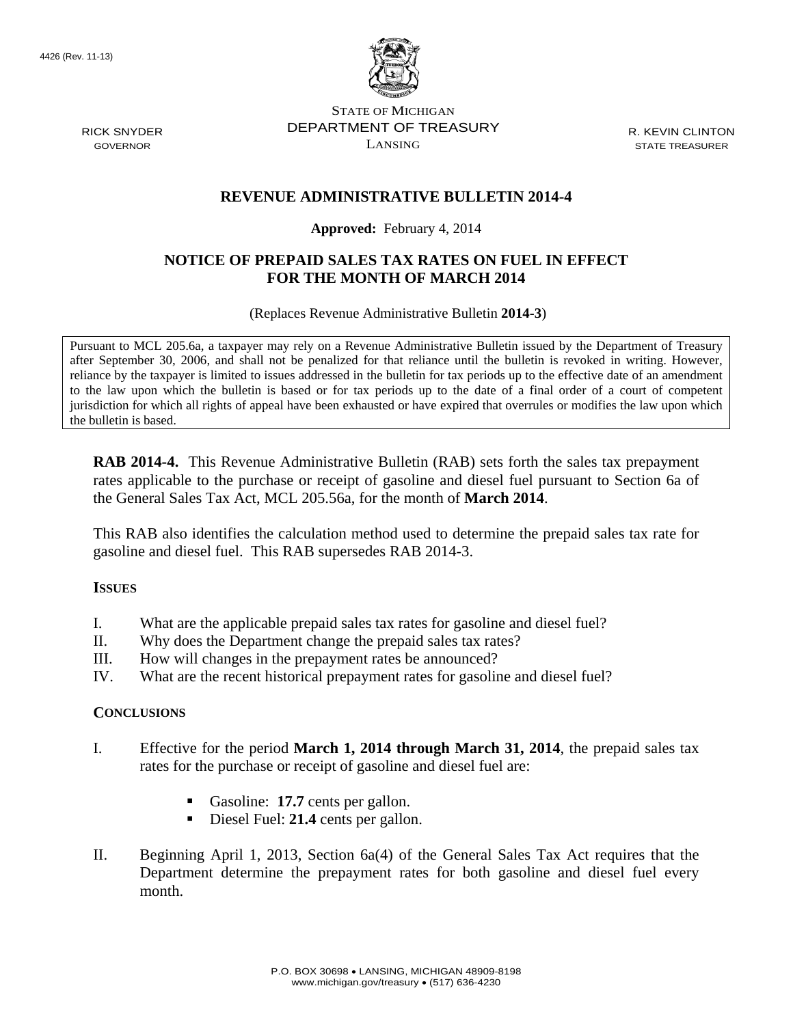

STATE OF MICHIGAN DEPARTMENT OF TREASURY LANSING

R. KEVIN CLINTON STATE TREASURER

## **REVENUE ADMINISTRATIVE BULLETIN 2014-4**

### **Approved:** February 4, 2014

## **NOTICE OF PREPAID SALES TAX RATES ON FUEL IN EFFECT FOR THE MONTH OF MARCH 2014**

(Replaces Revenue Administrative Bulletin **2014-3**)

Pursuant to MCL 205.6a, a taxpayer may rely on a Revenue Administrative Bulletin issued by the Department of Treasury after September 30, 2006, and shall not be penalized for that reliance until the bulletin is revoked in writing. However, reliance by the taxpayer is limited to issues addressed in the bulletin for tax periods up to the effective date of an amendment to the law upon which the bulletin is based or for tax periods up to the date of a final order of a court of competent jurisdiction for which all rights of appeal have been exhausted or have expired that overrules or modifies the law upon which the bulletin is based.

**RAB 2014-4.** This Revenue Administrative Bulletin (RAB) sets forth the sales tax prepayment rates applicable to the purchase or receipt of gasoline and diesel fuel pursuant to Section 6a of the General Sales Tax Act, MCL 205.56a, for the month of **March 2014**.

This RAB also identifies the calculation method used to determine the prepaid sales tax rate for gasoline and diesel fuel. This RAB supersedes RAB 2014-3.

#### **ISSUES**

- I. What are the applicable prepaid sales tax rates for gasoline and diesel fuel?
- II. Why does the Department change the prepaid sales tax rates?
- III. How will changes in the prepayment rates be announced?
- IV. What are the recent historical prepayment rates for gasoline and diesel fuel?

#### **CONCLUSIONS**

- I. Effective for the period **March 1, 2014 through March 31, 2014**, the prepaid sales tax rates for the purchase or receipt of gasoline and diesel fuel are:
	- Gasoline: **17.7** cents per gallon.
	- Diesel Fuel: 21.4 cents per gallon.
- II. Beginning April 1, 2013, Section 6a(4) of the General Sales Tax Act requires that the Department determine the prepayment rates for both gasoline and diesel fuel every month.

RICK SNYDER GOVERNOR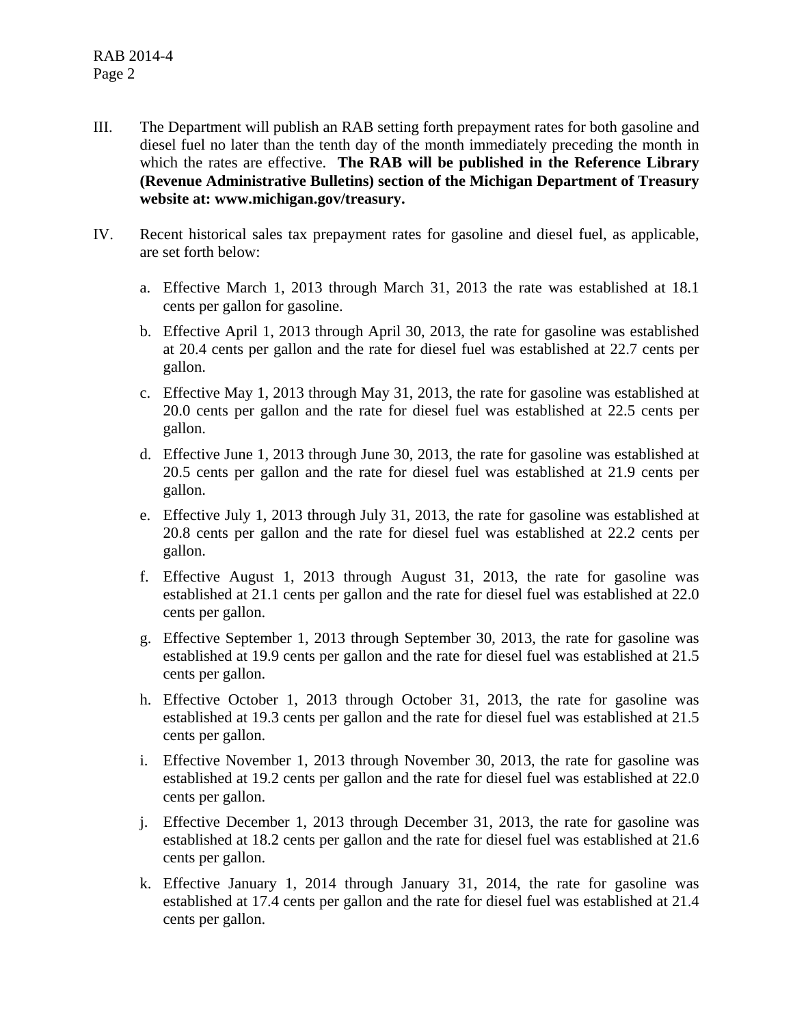- III. The Department will publish an RAB setting forth prepayment rates for both gasoline and diesel fuel no later than the tenth day of the month immediately preceding the month in which the rates are effective. **The RAB will be published in the Reference Library (Revenue Administrative Bulletins) section of the Michigan Department of Treasury website at: www.michigan.gov/treasury.**
- IV. Recent historical sales tax prepayment rates for gasoline and diesel fuel, as applicable, are set forth below:
	- a. Effective March 1, 2013 through March 31, 2013 the rate was established at 18.1 cents per gallon for gasoline.
	- b. Effective April 1, 2013 through April 30, 2013, the rate for gasoline was established at 20.4 cents per gallon and the rate for diesel fuel was established at 22.7 cents per gallon.
	- c. Effective May 1, 2013 through May 31, 2013, the rate for gasoline was established at 20.0 cents per gallon and the rate for diesel fuel was established at 22.5 cents per gallon.
	- d. Effective June 1, 2013 through June 30, 2013, the rate for gasoline was established at 20.5 cents per gallon and the rate for diesel fuel was established at 21.9 cents per gallon.
	- e. Effective July 1, 2013 through July 31, 2013, the rate for gasoline was established at 20.8 cents per gallon and the rate for diesel fuel was established at 22.2 cents per gallon.
	- f. Effective August 1, 2013 through August 31, 2013, the rate for gasoline was established at 21.1 cents per gallon and the rate for diesel fuel was established at 22.0 cents per gallon.
	- g. Effective September 1, 2013 through September 30, 2013, the rate for gasoline was established at 19.9 cents per gallon and the rate for diesel fuel was established at 21.5 cents per gallon.
	- h. Effective October 1, 2013 through October 31, 2013, the rate for gasoline was established at 19.3 cents per gallon and the rate for diesel fuel was established at 21.5 cents per gallon.
	- i. Effective November 1, 2013 through November 30, 2013, the rate for gasoline was established at 19.2 cents per gallon and the rate for diesel fuel was established at 22.0 cents per gallon.
	- j. Effective December 1, 2013 through December 31, 2013, the rate for gasoline was established at 18.2 cents per gallon and the rate for diesel fuel was established at 21.6 cents per gallon.
	- k. Effective January 1, 2014 through January 31, 2014, the rate for gasoline was established at 17.4 cents per gallon and the rate for diesel fuel was established at 21.4 cents per gallon.